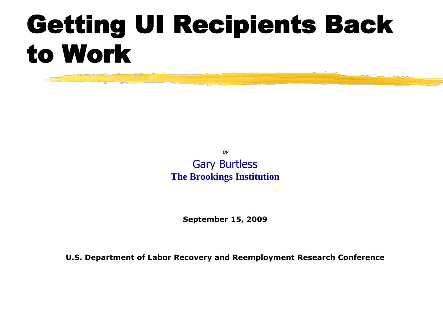# Getting UI Recipients Back to Work

by Gary Burtless **The Brookings Institution**

**September 15, 2009**

**U.S. Department of Labor Recovery and Reemployment Research Conference**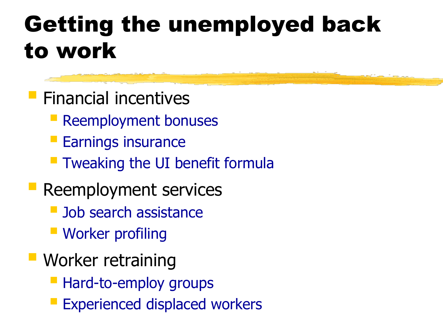#### Getting the unemployed back to work

- **Financial incentives** 
	- **Reemployment bonuses**
	- **Earnings insurance**
	- **Theorem 1 Tweaking the UI benefit formula**
- **Reemployment services** 
	- **Job search assistance**
	- **Worker profiling**
- **Worker retraining** 
	- **Hard-to-employ groups**
	- Experienced displaced workers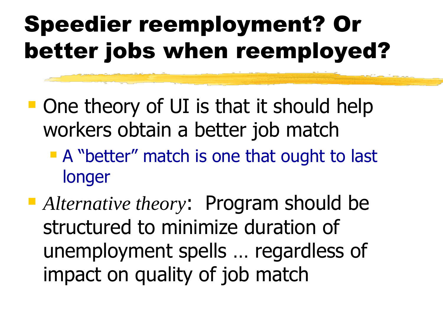## Speedier reemployment? Or better jobs when reemployed?

- **One theory of UI is that it should help** workers obtain a better job match
	- **A** "better" match is one that ought to last longer
- *Alternative theory*: Program should be structured to minimize duration of unemployment spells … regardless of impact on quality of job match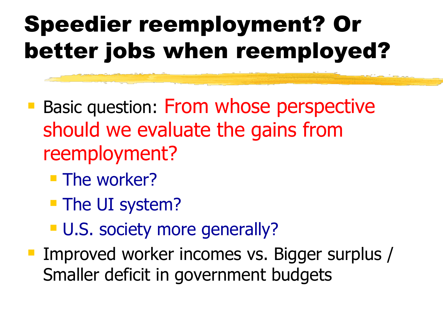## Speedier reemployment? Or better jobs when reemployed?

- **Basic question: From whose perspective** should we evaluate the gains from reemployment?
	- **The worker?**
	- **The UI system?**
	- **U.S. society more generally?**
- **Improved worker incomes vs. Bigger surplus /** Smaller deficit in government budgets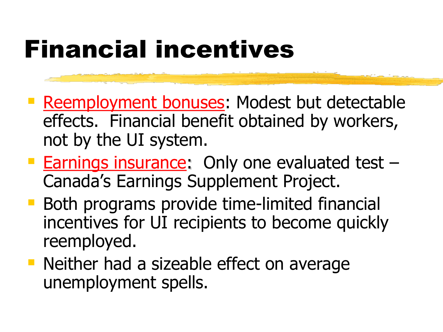# Financial incentives

- **Reemployment bonuses: Modest but detectable** effects. Financial benefit obtained by workers, not by the UI system.
- **Earnings insurance: Only one evaluated test -**Canada's Earnings Supplement Project.
- **Both programs provide time-limited financial** incentives for UI recipients to become quickly reemployed.
- **Neither had a sizeable effect on average** unemployment spells.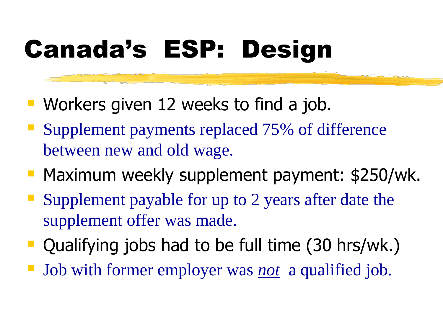# Canada's ESP: Design

- **Workers given 12 weeks to find a job.**
- Supplement payments replaced 75% of difference between new and old wage.
- **Maximum weekly supplement payment: \$250/wk.**
- **Supplement payable for up to 2 years after date the** supplement offer was made.
- Qualifying jobs had to be full time (30 hrs/wk.)
- Job with former employer was *not* a qualified job.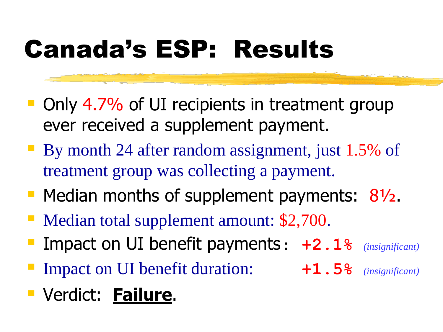# Canada's ESP: Results

- Only 4.7% of UI recipients in treatment group ever received a supplement payment.
- By month 24 after random assignment, just 1.5% of treatment group was collecting a payment.
- Median months of supplement payments:  $8\frac{1}{2}$ .
- Median total supplement amount: \$2,700.
- Impact on UI benefit payments: **+2.1%** *(insignificant)*
- Impact on UI benefit duration: **+1.5%** *(insignificant)*
- Verdict: **Failure**.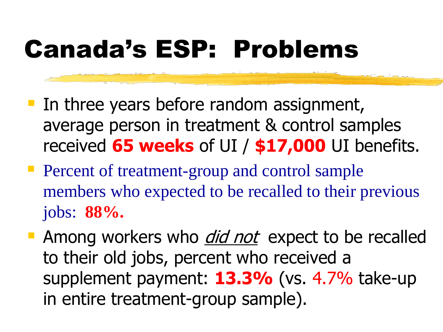# Canada's ESP: Problems

- **If the vears before random assignment,** average person in treatment & control samples received **65 weeks** of UI / **\$17,000** UI benefits.
- **Percent of treatment-group and control sample** members who expected to be recalled to their previous jobs: **88%.**
- Among workers who *did not* expect to be recalled to their old jobs, percent who received a supplement payment: **13.3%** (vs. 4.7% take-up in entire treatment-group sample).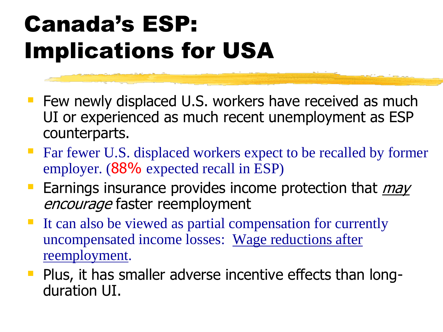## Canada's ESP: Implications for USA

- **Fig. 2** Few newly displaced U.S. workers have received as much UI or experienced as much recent unemployment as ESP counterparts.
- Far fewer U.S. displaced workers expect to be recalled by former employer. (88% expected recall in ESP)
- **Earnings insurance provides income protection that** *may* encourage faster reemployment
- It can also be viewed as partial compensation for currently uncompensated income losses: Wage reductions after reemployment.
- **Plus, it has smaller adverse incentive effects than long**duration UI.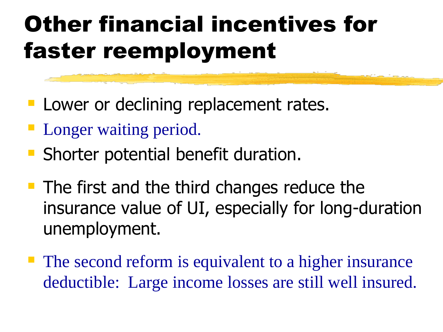## Other financial incentives for faster reemployment

- **Lower or declining replacement rates.**
- **Longer waiting period.**
- **Shorter potential benefit duration.**
- $\blacksquare$  The first and the third changes reduce the insurance value of UI, especially for long-duration unemployment.
- **The second reform is equivalent to a higher insurance** deductible: Large income losses are still well insured.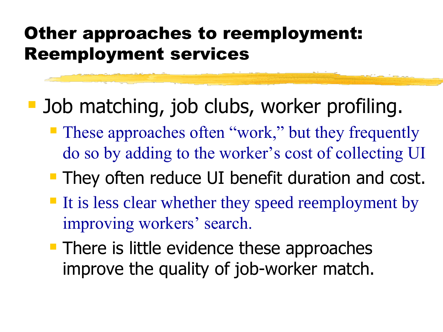#### Other approaches to reemployment: Reemployment services

- **Job matching, job clubs, worker profiling.** 
	- **These approaches often "work," but they frequently** do so by adding to the worker's cost of collecting UI
	- **They often reduce UI benefit duration and cost.**
	- If is less clear whether they speed reemployment by improving workers' search.
	- **There is little evidence these approaches** improve the quality of job-worker match.